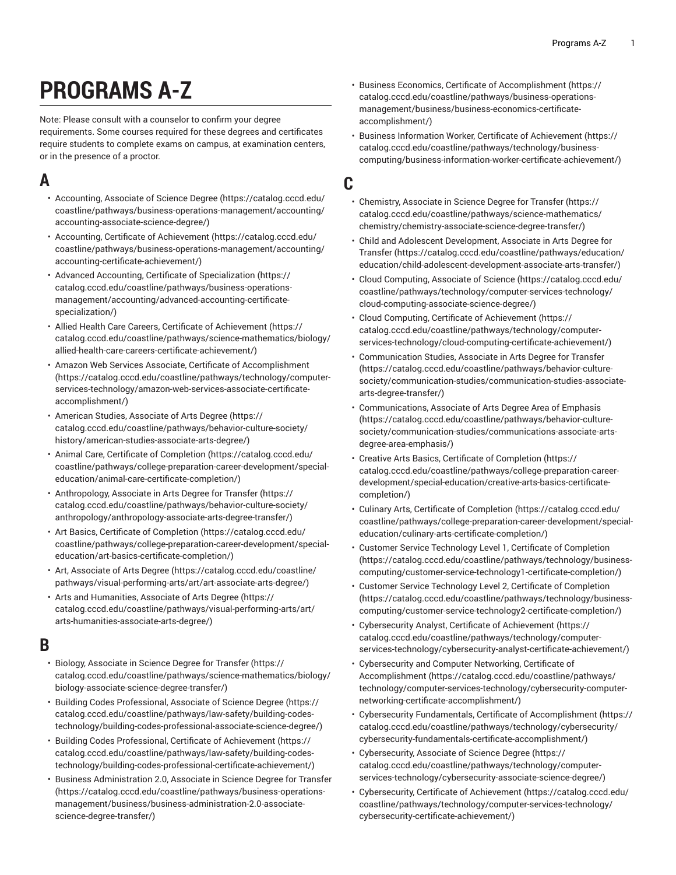# **PROGRAMS A-Z**

Note: Please consult with a counselor to confirm your degree requirements. Some courses required for these degrees and certificates require students to complete exams on campus, at examination centers, or in the presence of a proctor.

# **A**

- [Accounting,](https://catalog.cccd.edu/coastline/pathways/business-operations-management/accounting/accounting-associate-science-degree/) Associate of Science Degree ([https://catalog.cccd.edu/](https://catalog.cccd.edu/coastline/pathways/business-operations-management/accounting/accounting-associate-science-degree/) [coastline/pathways/business-operations-management/accounting/](https://catalog.cccd.edu/coastline/pathways/business-operations-management/accounting/accounting-associate-science-degree/) [accounting-associate-science-degree/](https://catalog.cccd.edu/coastline/pathways/business-operations-management/accounting/accounting-associate-science-degree/))
- Accounting, Certificate of [Achievement \(https://catalog.cccd.edu/](https://catalog.cccd.edu/coastline/pathways/business-operations-management/accounting/accounting-certificate-achievement/) [coastline/pathways/business-operations-management/accounting/](https://catalog.cccd.edu/coastline/pathways/business-operations-management/accounting/accounting-certificate-achievement/) [accounting-certificate-achievement/](https://catalog.cccd.edu/coastline/pathways/business-operations-management/accounting/accounting-certificate-achievement/))
- Advanced Accounting, Certificate of [Specialization](https://catalog.cccd.edu/coastline/pathways/business-operations-management/accounting/advanced-accounting-certificate-specialization/) ([https://](https://catalog.cccd.edu/coastline/pathways/business-operations-management/accounting/advanced-accounting-certificate-specialization/) [catalog.cccd.edu/coastline/pathways/business-operations](https://catalog.cccd.edu/coastline/pathways/business-operations-management/accounting/advanced-accounting-certificate-specialization/)[management/accounting/advanced-accounting-certificate](https://catalog.cccd.edu/coastline/pathways/business-operations-management/accounting/advanced-accounting-certificate-specialization/)[specialization/](https://catalog.cccd.edu/coastline/pathways/business-operations-management/accounting/advanced-accounting-certificate-specialization/))
- Allied Health Care Careers, Certificate of [Achievement](https://catalog.cccd.edu/coastline/pathways/science-mathematics/biology/allied-health-care-careers-certificate-achievement/) ([https://](https://catalog.cccd.edu/coastline/pathways/science-mathematics/biology/allied-health-care-careers-certificate-achievement/) [catalog.cccd.edu/coastline/pathways/science-mathematics/biology/](https://catalog.cccd.edu/coastline/pathways/science-mathematics/biology/allied-health-care-careers-certificate-achievement/) [allied-health-care-careers-certificate-achievement/](https://catalog.cccd.edu/coastline/pathways/science-mathematics/biology/allied-health-care-careers-certificate-achievement/))
- Amazon Web Services Associate, Certificate of [Accomplishment](https://catalog.cccd.edu/coastline/pathways/technology/computer-services-technology/amazon-web-services-associate-certificate-accomplishment/) ([https://catalog.cccd.edu/coastline/pathways/technology/computer](https://catalog.cccd.edu/coastline/pathways/technology/computer-services-technology/amazon-web-services-associate-certificate-accomplishment/)[services-technology/amazon-web-services-associate-certificate](https://catalog.cccd.edu/coastline/pathways/technology/computer-services-technology/amazon-web-services-associate-certificate-accomplishment/)[accomplishment/\)](https://catalog.cccd.edu/coastline/pathways/technology/computer-services-technology/amazon-web-services-associate-certificate-accomplishment/)
- American Studies, [Associate](https://catalog.cccd.edu/coastline/pathways/behavior-culture-society/history/american-studies-associate-arts-degree/) of Arts Degree ([https://](https://catalog.cccd.edu/coastline/pathways/behavior-culture-society/history/american-studies-associate-arts-degree/) [catalog.cccd.edu/coastline/pathways/behavior-culture-society/](https://catalog.cccd.edu/coastline/pathways/behavior-culture-society/history/american-studies-associate-arts-degree/) [history/american-studies-associate-arts-degree/\)](https://catalog.cccd.edu/coastline/pathways/behavior-culture-society/history/american-studies-associate-arts-degree/)
- Animal Care, Certificate of [Completion](https://catalog.cccd.edu/coastline/pathways/college-preparation-career-development/special-education/animal-care-certificate-completion/) [\(https://catalog.cccd.edu/](https://catalog.cccd.edu/coastline/pathways/college-preparation-career-development/special-education/animal-care-certificate-completion/) [coastline/pathways/college-preparation-career-development/special](https://catalog.cccd.edu/coastline/pathways/college-preparation-career-development/special-education/animal-care-certificate-completion/)[education/animal-care-certificate-completion/](https://catalog.cccd.edu/coastline/pathways/college-preparation-career-development/special-education/animal-care-certificate-completion/))
- [Anthropology,](https://catalog.cccd.edu/coastline/pathways/behavior-culture-society/anthropology/anthropology-associate-arts-degree-transfer/) Associate in Arts Degree for Transfer [\(https://](https://catalog.cccd.edu/coastline/pathways/behavior-culture-society/anthropology/anthropology-associate-arts-degree-transfer/) [catalog.cccd.edu/coastline/pathways/behavior-culture-society/](https://catalog.cccd.edu/coastline/pathways/behavior-culture-society/anthropology/anthropology-associate-arts-degree-transfer/) [anthropology/anthropology-associate-arts-degree-transfer/](https://catalog.cccd.edu/coastline/pathways/behavior-culture-society/anthropology/anthropology-associate-arts-degree-transfer/))
- Art Basics, Certificate of [Completion \(https://catalog.cccd.edu/](https://catalog.cccd.edu/coastline/pathways/college-preparation-career-development/special-education/art-basics-certificate-completion/) [coastline/pathways/college-preparation-career-development/special](https://catalog.cccd.edu/coastline/pathways/college-preparation-career-development/special-education/art-basics-certificate-completion/)[education/art-basics-certificate-completion/\)](https://catalog.cccd.edu/coastline/pathways/college-preparation-career-development/special-education/art-basics-certificate-completion/)
- Art, [Associate](https://catalog.cccd.edu/coastline/pathways/visual-performing-arts/art/art-associate-arts-degree/) of Arts Degree ([https://catalog.cccd.edu/coastline/](https://catalog.cccd.edu/coastline/pathways/visual-performing-arts/art/art-associate-arts-degree/) [pathways/visual-performing-arts/art/art-associate-arts-degree/](https://catalog.cccd.edu/coastline/pathways/visual-performing-arts/art/art-associate-arts-degree/))
- Arts and [Humanities,](https://catalog.cccd.edu/coastline/pathways/visual-performing-arts/art/arts-humanities-associate-arts-degree/) Associate of Arts Degree ([https://](https://catalog.cccd.edu/coastline/pathways/visual-performing-arts/art/arts-humanities-associate-arts-degree/) [catalog.cccd.edu/coastline/pathways/visual-performing-arts/art/](https://catalog.cccd.edu/coastline/pathways/visual-performing-arts/art/arts-humanities-associate-arts-degree/) [arts-humanities-associate-arts-degree/\)](https://catalog.cccd.edu/coastline/pathways/visual-performing-arts/art/arts-humanities-associate-arts-degree/)

### **B**

- Biology, [Associate](https://catalog.cccd.edu/coastline/pathways/science-mathematics/biology/biology-associate-science-degree-transfer/) in Science Degree for Transfer [\(https://](https://catalog.cccd.edu/coastline/pathways/science-mathematics/biology/biology-associate-science-degree-transfer/) [catalog.cccd.edu/coastline/pathways/science-mathematics/biology/](https://catalog.cccd.edu/coastline/pathways/science-mathematics/biology/biology-associate-science-degree-transfer/) [biology-associate-science-degree-transfer/](https://catalog.cccd.edu/coastline/pathways/science-mathematics/biology/biology-associate-science-degree-transfer/))
- Building Codes [Professional,](https://catalog.cccd.edu/coastline/pathways/law-safety/building-codes-technology/building-codes-professional-associate-science-degree/) Associate of Science Degree ([https://](https://catalog.cccd.edu/coastline/pathways/law-safety/building-codes-technology/building-codes-professional-associate-science-degree/) [catalog.cccd.edu/coastline/pathways/law-safety/building-codes](https://catalog.cccd.edu/coastline/pathways/law-safety/building-codes-technology/building-codes-professional-associate-science-degree/)[technology/building-codes-professional-associate-science-degree/](https://catalog.cccd.edu/coastline/pathways/law-safety/building-codes-technology/building-codes-professional-associate-science-degree/))
- Building Codes Professional, Certificate of [Achievement \(https://](https://catalog.cccd.edu/coastline/pathways/law-safety/building-codes-technology/building-codes-professional-certificate-achievement/) [catalog.cccd.edu/coastline/pathways/law-safety/building-codes](https://catalog.cccd.edu/coastline/pathways/law-safety/building-codes-technology/building-codes-professional-certificate-achievement/)[technology/building-codes-professional-certificate-achievement/](https://catalog.cccd.edu/coastline/pathways/law-safety/building-codes-technology/building-codes-professional-certificate-achievement/))
- Business [Administration](https://catalog.cccd.edu/coastline/pathways/business-operations-management/business/business-administration-2.0-associate-science-degree-transfer/) 2.0, Associate in Science Degree for Transfer ([https://catalog.cccd.edu/coastline/pathways/business-operations](https://catalog.cccd.edu/coastline/pathways/business-operations-management/business/business-administration-2.0-associate-science-degree-transfer/)[management/business/business-administration-2.0-associate](https://catalog.cccd.edu/coastline/pathways/business-operations-management/business/business-administration-2.0-associate-science-degree-transfer/)[science-degree-transfer/](https://catalog.cccd.edu/coastline/pathways/business-operations-management/business/business-administration-2.0-associate-science-degree-transfer/))
- Business Economics, Certificate of [Accomplishment](https://catalog.cccd.edu/coastline/pathways/business-operations-management/business/business-economics-certificate-accomplishment/) ([https://](https://catalog.cccd.edu/coastline/pathways/business-operations-management/business/business-economics-certificate-accomplishment/) [catalog.cccd.edu/coastline/pathways/business-operations](https://catalog.cccd.edu/coastline/pathways/business-operations-management/business/business-economics-certificate-accomplishment/)[management/business/business-economics-certificate](https://catalog.cccd.edu/coastline/pathways/business-operations-management/business/business-economics-certificate-accomplishment/)[accomplishment/\)](https://catalog.cccd.edu/coastline/pathways/business-operations-management/business/business-economics-certificate-accomplishment/)
- Business Information Worker, Certificate of [Achievement \(https://](https://catalog.cccd.edu/coastline/pathways/technology/business-computing/business-information-worker-certificate-achievement/) [catalog.cccd.edu/coastline/pathways/technology/business](https://catalog.cccd.edu/coastline/pathways/technology/business-computing/business-information-worker-certificate-achievement/)[computing/business-information-worker-certificate-achievement/](https://catalog.cccd.edu/coastline/pathways/technology/business-computing/business-information-worker-certificate-achievement/))

#### **C**

- [Chemistry,](https://catalog.cccd.edu/coastline/pathways/science-mathematics/chemistry/chemistry-associate-science-degree-transfer/) Associate in Science Degree for Transfer [\(https://](https://catalog.cccd.edu/coastline/pathways/science-mathematics/chemistry/chemistry-associate-science-degree-transfer/) [catalog.cccd.edu/coastline/pathways/science-mathematics/](https://catalog.cccd.edu/coastline/pathways/science-mathematics/chemistry/chemistry-associate-science-degree-transfer/) [chemistry/chemistry-associate-science-degree-transfer/\)](https://catalog.cccd.edu/coastline/pathways/science-mathematics/chemistry/chemistry-associate-science-degree-transfer/)
- Child and Adolescent [Development,](https://catalog.cccd.edu/coastline/pathways/education/education/child-adolescent-development-associate-arts-transfer/) Associate in Arts Degree for [Transfer](https://catalog.cccd.edu/coastline/pathways/education/education/child-adolescent-development-associate-arts-transfer/) ([https://catalog.cccd.edu/coastline/pathways/education/](https://catalog.cccd.edu/coastline/pathways/education/education/child-adolescent-development-associate-arts-transfer/) [education/child-adolescent-development-associate-arts-transfer/\)](https://catalog.cccd.edu/coastline/pathways/education/education/child-adolescent-development-associate-arts-transfer/)
- [Cloud Computing, Associate of Science \(https://catalog.cccd.edu/](https://catalog.cccd.edu/coastline/pathways/technology/computer-services-technology/cloud-computing-associate-science-degree/) [coastline/pathways/technology/computer-services-technology/](https://catalog.cccd.edu/coastline/pathways/technology/computer-services-technology/cloud-computing-associate-science-degree/) [cloud-computing-associate-science-degree/](https://catalog.cccd.edu/coastline/pathways/technology/computer-services-technology/cloud-computing-associate-science-degree/))
- Cloud Computing, Certificate of [Achievement](https://catalog.cccd.edu/coastline/pathways/technology/computer-services-technology/cloud-computing-certificate-achievement/) ([https://](https://catalog.cccd.edu/coastline/pathways/technology/computer-services-technology/cloud-computing-certificate-achievement/) [catalog.cccd.edu/coastline/pathways/technology/computer](https://catalog.cccd.edu/coastline/pathways/technology/computer-services-technology/cloud-computing-certificate-achievement/)[services-technology/cloud-computing-certificate-achievement/](https://catalog.cccd.edu/coastline/pathways/technology/computer-services-technology/cloud-computing-certificate-achievement/))
- [Communication](https://catalog.cccd.edu/coastline/pathways/behavior-culture-society/communication-studies/communication-studies-associate-arts-degree-transfer/) Studies, Associate in Arts Degree for Transfer [\(https://catalog.cccd.edu/coastline/pathways/behavior-culture](https://catalog.cccd.edu/coastline/pathways/behavior-culture-society/communication-studies/communication-studies-associate-arts-degree-transfer/)[society/communication-studies/communication-studies-associate](https://catalog.cccd.edu/coastline/pathways/behavior-culture-society/communication-studies/communication-studies-associate-arts-degree-transfer/)[arts-degree-transfer/\)](https://catalog.cccd.edu/coastline/pathways/behavior-culture-society/communication-studies/communication-studies-associate-arts-degree-transfer/)
- [Communications,](https://catalog.cccd.edu/coastline/pathways/behavior-culture-society/communication-studies/communications-associate-arts-degree-area-emphasis/) Associate of Arts Degree Area of Emphasis [\(https://catalog.cccd.edu/coastline/pathways/behavior-culture](https://catalog.cccd.edu/coastline/pathways/behavior-culture-society/communication-studies/communications-associate-arts-degree-area-emphasis/)[society/communication-studies/communications-associate-arts](https://catalog.cccd.edu/coastline/pathways/behavior-culture-society/communication-studies/communications-associate-arts-degree-area-emphasis/)[degree-area-emphasis/](https://catalog.cccd.edu/coastline/pathways/behavior-culture-society/communication-studies/communications-associate-arts-degree-area-emphasis/))
- Creative Arts Basics, Certificate of [Completion \(https://](https://catalog.cccd.edu/coastline/pathways/college-preparation-career-development/special-education/creative-arts-basics-certificate-completion/) [catalog.cccd.edu/coastline/pathways/college-preparation-career](https://catalog.cccd.edu/coastline/pathways/college-preparation-career-development/special-education/creative-arts-basics-certificate-completion/)[development/special-education/creative-arts-basics-certificate](https://catalog.cccd.edu/coastline/pathways/college-preparation-career-development/special-education/creative-arts-basics-certificate-completion/)[completion/](https://catalog.cccd.edu/coastline/pathways/college-preparation-career-development/special-education/creative-arts-basics-certificate-completion/))
- Culinary Arts, Certificate of [Completion \(https://catalog.cccd.edu/](https://catalog.cccd.edu/coastline/pathways/college-preparation-career-development/special-education/culinary-arts-certificate-completion/) [coastline/pathways/college-preparation-career-development/special](https://catalog.cccd.edu/coastline/pathways/college-preparation-career-development/special-education/culinary-arts-certificate-completion/)[education/culinary-arts-certificate-completion/\)](https://catalog.cccd.edu/coastline/pathways/college-preparation-career-development/special-education/culinary-arts-certificate-completion/)
- Customer Service [Technology](https://catalog.cccd.edu/coastline/pathways/technology/business-computing/customer-service-technology1-certificate-completion/) Level 1, Certificate of Completion [\(https://catalog.cccd.edu/coastline/pathways/technology/business](https://catalog.cccd.edu/coastline/pathways/technology/business-computing/customer-service-technology1-certificate-completion/)[computing/customer-service-technology1-certificate-completion/](https://catalog.cccd.edu/coastline/pathways/technology/business-computing/customer-service-technology1-certificate-completion/))
- Customer Service [Technology](https://catalog.cccd.edu/coastline/pathways/technology/business-computing/customer-service-technology2-certificate-completion/) Level 2, Certificate of Completion [\(https://catalog.cccd.edu/coastline/pathways/technology/business](https://catalog.cccd.edu/coastline/pathways/technology/business-computing/customer-service-technology2-certificate-completion/)[computing/customer-service-technology2-certificate-completion/](https://catalog.cccd.edu/coastline/pathways/technology/business-computing/customer-service-technology2-certificate-completion/))
- [Cybersecurity](https://catalog.cccd.edu/coastline/pathways/technology/computer-services-technology/cybersecurity-analyst-certificate-achievement/) Analyst, Certificate of Achievement ([https://](https://catalog.cccd.edu/coastline/pathways/technology/computer-services-technology/cybersecurity-analyst-certificate-achievement/) [catalog.cccd.edu/coastline/pathways/technology/computer](https://catalog.cccd.edu/coastline/pathways/technology/computer-services-technology/cybersecurity-analyst-certificate-achievement/)[services-technology/cybersecurity-analyst-certificate-achievement/\)](https://catalog.cccd.edu/coastline/pathways/technology/computer-services-technology/cybersecurity-analyst-certificate-achievement/)
- [Cybersecurity](https://catalog.cccd.edu/coastline/pathways/technology/computer-services-technology/cybersecurity-computer-networking-certificate-accomplishment/) and Computer Networking, Certificate of [Accomplishment](https://catalog.cccd.edu/coastline/pathways/technology/computer-services-technology/cybersecurity-computer-networking-certificate-accomplishment/) [\(https://catalog.cccd.edu/coastline/pathways/](https://catalog.cccd.edu/coastline/pathways/technology/computer-services-technology/cybersecurity-computer-networking-certificate-accomplishment/) [technology/computer-services-technology/cybersecurity-computer](https://catalog.cccd.edu/coastline/pathways/technology/computer-services-technology/cybersecurity-computer-networking-certificate-accomplishment/)[networking-certificate-accomplishment/](https://catalog.cccd.edu/coastline/pathways/technology/computer-services-technology/cybersecurity-computer-networking-certificate-accomplishment/))
- Cybersecurity Fundamentals, Certificate of [Accomplishment](https://catalog.cccd.edu/coastline/pathways/technology/cybersecurity/cybersecurity-fundamentals-certificate-accomplishment/) ([https://](https://catalog.cccd.edu/coastline/pathways/technology/cybersecurity/cybersecurity-fundamentals-certificate-accomplishment/) [catalog.cccd.edu/coastline/pathways/technology/cybersecurity/](https://catalog.cccd.edu/coastline/pathways/technology/cybersecurity/cybersecurity-fundamentals-certificate-accomplishment/) [cybersecurity-fundamentals-certificate-accomplishment/\)](https://catalog.cccd.edu/coastline/pathways/technology/cybersecurity/cybersecurity-fundamentals-certificate-accomplishment/)
- [Cybersecurity,](https://catalog.cccd.edu/coastline/pathways/technology/computer-services-technology/cybersecurity-associate-science-degree/) Associate of Science Degree ([https://](https://catalog.cccd.edu/coastline/pathways/technology/computer-services-technology/cybersecurity-associate-science-degree/) [catalog.cccd.edu/coastline/pathways/technology/computer](https://catalog.cccd.edu/coastline/pathways/technology/computer-services-technology/cybersecurity-associate-science-degree/)[services-technology/cybersecurity-associate-science-degree/](https://catalog.cccd.edu/coastline/pathways/technology/computer-services-technology/cybersecurity-associate-science-degree/))
- [Cybersecurity,](https://catalog.cccd.edu/coastline/pathways/technology/computer-services-technology/cybersecurity-certificate-achievement/) Certificate of Achievement [\(https://catalog.cccd.edu/](https://catalog.cccd.edu/coastline/pathways/technology/computer-services-technology/cybersecurity-certificate-achievement/) [coastline/pathways/technology/computer-services-technology/](https://catalog.cccd.edu/coastline/pathways/technology/computer-services-technology/cybersecurity-certificate-achievement/) [cybersecurity-certificate-achievement/\)](https://catalog.cccd.edu/coastline/pathways/technology/computer-services-technology/cybersecurity-certificate-achievement/)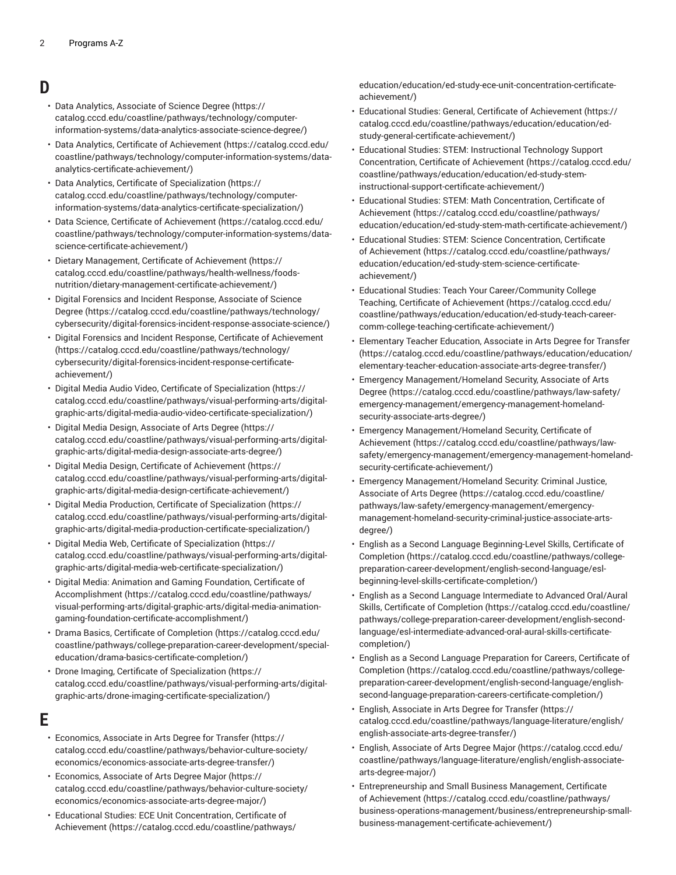#### **D**

- Data Analytics, [Associate](https://catalog.cccd.edu/coastline/pathways/technology/computer-information-systems/data-analytics-associate-science-degree/) of Science Degree ([https://](https://catalog.cccd.edu/coastline/pathways/technology/computer-information-systems/data-analytics-associate-science-degree/) [catalog.cccd.edu/coastline/pathways/technology/computer](https://catalog.cccd.edu/coastline/pathways/technology/computer-information-systems/data-analytics-associate-science-degree/)[information-systems/data-analytics-associate-science-degree/\)](https://catalog.cccd.edu/coastline/pathways/technology/computer-information-systems/data-analytics-associate-science-degree/)
- Data Analytics, Certificate of [Achievement \(https://catalog.cccd.edu/](https://catalog.cccd.edu/coastline/pathways/technology/computer-information-systems/data-analytics-certificate-achievement/) [coastline/pathways/technology/computer-information-systems/data](https://catalog.cccd.edu/coastline/pathways/technology/computer-information-systems/data-analytics-certificate-achievement/)[analytics-certificate-achievement/](https://catalog.cccd.edu/coastline/pathways/technology/computer-information-systems/data-analytics-certificate-achievement/))
- Data Analytics, Certificate of [Specialization \(https://](https://catalog.cccd.edu/coastline/pathways/technology/computer-information-systems/data-analytics-certificate-specialization/) [catalog.cccd.edu/coastline/pathways/technology/computer](https://catalog.cccd.edu/coastline/pathways/technology/computer-information-systems/data-analytics-certificate-specialization/)[information-systems/data-analytics-certificate-specialization/](https://catalog.cccd.edu/coastline/pathways/technology/computer-information-systems/data-analytics-certificate-specialization/))
- Data Science, Certificate of [Achievement \(https://catalog.cccd.edu/](https://catalog.cccd.edu/coastline/pathways/technology/computer-information-systems/data-science-certificate-achievement/) [coastline/pathways/technology/computer-information-systems/data](https://catalog.cccd.edu/coastline/pathways/technology/computer-information-systems/data-science-certificate-achievement/)[science-certificate-achievement/\)](https://catalog.cccd.edu/coastline/pathways/technology/computer-information-systems/data-science-certificate-achievement/)
- Dietary [Management,](https://catalog.cccd.edu/coastline/pathways/health-wellness/foods-nutrition/dietary-management-certificate-achievement/) Certificate of Achievement [\(https://](https://catalog.cccd.edu/coastline/pathways/health-wellness/foods-nutrition/dietary-management-certificate-achievement/) [catalog.cccd.edu/coastline/pathways/health-wellness/foods](https://catalog.cccd.edu/coastline/pathways/health-wellness/foods-nutrition/dietary-management-certificate-achievement/)[nutrition/dietary-management-certificate-achievement/](https://catalog.cccd.edu/coastline/pathways/health-wellness/foods-nutrition/dietary-management-certificate-achievement/))
- Digital Forensics and Incident [Response,](https://catalog.cccd.edu/coastline/pathways/technology/cybersecurity/digital-forensics-incident-response-associate-science/) Associate of Science [Degree](https://catalog.cccd.edu/coastline/pathways/technology/cybersecurity/digital-forensics-incident-response-associate-science/) ([https://catalog.cccd.edu/coastline/pathways/technology/](https://catalog.cccd.edu/coastline/pathways/technology/cybersecurity/digital-forensics-incident-response-associate-science/) [cybersecurity/digital-forensics-incident-response-associate-science/](https://catalog.cccd.edu/coastline/pathways/technology/cybersecurity/digital-forensics-incident-response-associate-science/))
- Digital Forensics and Incident Response, Certificate of [Achievement](https://catalog.cccd.edu/coastline/pathways/technology/cybersecurity/digital-forensics-incident-response-certificate-achievement/) ([https://catalog.cccd.edu/coastline/pathways/technology/](https://catalog.cccd.edu/coastline/pathways/technology/cybersecurity/digital-forensics-incident-response-certificate-achievement/) [cybersecurity/digital-forensics-incident-response-certificate](https://catalog.cccd.edu/coastline/pathways/technology/cybersecurity/digital-forensics-incident-response-certificate-achievement/)[achievement/](https://catalog.cccd.edu/coastline/pathways/technology/cybersecurity/digital-forensics-incident-response-certificate-achievement/))
- Digital Media Audio Video, Certificate of [Specialization \(https://](https://catalog.cccd.edu/coastline/pathways/visual-performing-arts/digital-graphic-arts/digital-media-audio-video-certificate-specialization/) [catalog.cccd.edu/coastline/pathways/visual-performing-arts/digital](https://catalog.cccd.edu/coastline/pathways/visual-performing-arts/digital-graphic-arts/digital-media-audio-video-certificate-specialization/)[graphic-arts/digital-media-audio-video-certificate-specialization/\)](https://catalog.cccd.edu/coastline/pathways/visual-performing-arts/digital-graphic-arts/digital-media-audio-video-certificate-specialization/)
- Digital Media Design, [Associate](https://catalog.cccd.edu/coastline/pathways/visual-performing-arts/digital-graphic-arts/digital-media-design-associate-arts-degree/) of Arts Degree [\(https://](https://catalog.cccd.edu/coastline/pathways/visual-performing-arts/digital-graphic-arts/digital-media-design-associate-arts-degree/) [catalog.cccd.edu/coastline/pathways/visual-performing-arts/digital](https://catalog.cccd.edu/coastline/pathways/visual-performing-arts/digital-graphic-arts/digital-media-design-associate-arts-degree/)[graphic-arts/digital-media-design-associate-arts-degree/\)](https://catalog.cccd.edu/coastline/pathways/visual-performing-arts/digital-graphic-arts/digital-media-design-associate-arts-degree/)
- Digital Media Design, Certificate of [Achievement \(https://](https://catalog.cccd.edu/coastline/pathways/visual-performing-arts/digital-graphic-arts/digital-media-design-certificate-achievement/) [catalog.cccd.edu/coastline/pathways/visual-performing-arts/digital](https://catalog.cccd.edu/coastline/pathways/visual-performing-arts/digital-graphic-arts/digital-media-design-certificate-achievement/)[graphic-arts/digital-media-design-certificate-achievement/](https://catalog.cccd.edu/coastline/pathways/visual-performing-arts/digital-graphic-arts/digital-media-design-certificate-achievement/))
- Digital Media Production, Certificate of [Specialization](https://catalog.cccd.edu/coastline/pathways/visual-performing-arts/digital-graphic-arts/digital-media-production-certificate-specialization/) ([https://](https://catalog.cccd.edu/coastline/pathways/visual-performing-arts/digital-graphic-arts/digital-media-production-certificate-specialization/) [catalog.cccd.edu/coastline/pathways/visual-performing-arts/digital](https://catalog.cccd.edu/coastline/pathways/visual-performing-arts/digital-graphic-arts/digital-media-production-certificate-specialization/)[graphic-arts/digital-media-production-certificate-specialization/](https://catalog.cccd.edu/coastline/pathways/visual-performing-arts/digital-graphic-arts/digital-media-production-certificate-specialization/))
- Digital Media Web, Certificate of [Specialization](https://catalog.cccd.edu/coastline/pathways/visual-performing-arts/digital-graphic-arts/digital-media-web-certificate-specialization/) ([https://](https://catalog.cccd.edu/coastline/pathways/visual-performing-arts/digital-graphic-arts/digital-media-web-certificate-specialization/) [catalog.cccd.edu/coastline/pathways/visual-performing-arts/digital](https://catalog.cccd.edu/coastline/pathways/visual-performing-arts/digital-graphic-arts/digital-media-web-certificate-specialization/)[graphic-arts/digital-media-web-certificate-specialization/\)](https://catalog.cccd.edu/coastline/pathways/visual-performing-arts/digital-graphic-arts/digital-media-web-certificate-specialization/)
- Digital Media: Animation and Gaming [Foundation,](https://catalog.cccd.edu/coastline/pathways/visual-performing-arts/digital-graphic-arts/digital-media-animation-gaming-foundation-certificate-accomplishment/) Certificate of [Accomplishment](https://catalog.cccd.edu/coastline/pathways/visual-performing-arts/digital-graphic-arts/digital-media-animation-gaming-foundation-certificate-accomplishment/) ([https://catalog.cccd.edu/coastline/pathways/](https://catalog.cccd.edu/coastline/pathways/visual-performing-arts/digital-graphic-arts/digital-media-animation-gaming-foundation-certificate-accomplishment/) [visual-performing-arts/digital-graphic-arts/digital-media-animation](https://catalog.cccd.edu/coastline/pathways/visual-performing-arts/digital-graphic-arts/digital-media-animation-gaming-foundation-certificate-accomplishment/)[gaming-foundation-certificate-accomplishment/](https://catalog.cccd.edu/coastline/pathways/visual-performing-arts/digital-graphic-arts/digital-media-animation-gaming-foundation-certificate-accomplishment/))
- Drama Basics, Certificate of [Completion \(https://catalog.cccd.edu/](https://catalog.cccd.edu/coastline/pathways/college-preparation-career-development/special-education/drama-basics-certificate-completion/) [coastline/pathways/college-preparation-career-development/special](https://catalog.cccd.edu/coastline/pathways/college-preparation-career-development/special-education/drama-basics-certificate-completion/)[education/drama-basics-certificate-completion/](https://catalog.cccd.edu/coastline/pathways/college-preparation-career-development/special-education/drama-basics-certificate-completion/))
- Drone Imaging, Certificate of [Specialization](https://catalog.cccd.edu/coastline/pathways/visual-performing-arts/digital-graphic-arts/drone-imaging-certificate-specialization/) ([https://](https://catalog.cccd.edu/coastline/pathways/visual-performing-arts/digital-graphic-arts/drone-imaging-certificate-specialization/) [catalog.cccd.edu/coastline/pathways/visual-performing-arts/digital](https://catalog.cccd.edu/coastline/pathways/visual-performing-arts/digital-graphic-arts/drone-imaging-certificate-specialization/)[graphic-arts/drone-imaging-certificate-specialization/](https://catalog.cccd.edu/coastline/pathways/visual-performing-arts/digital-graphic-arts/drone-imaging-certificate-specialization/))

#### **E**

- [Economics,](https://catalog.cccd.edu/coastline/pathways/behavior-culture-society/economics/economics-associate-arts-degree-transfer/) Associate in Arts Degree for Transfer [\(https://](https://catalog.cccd.edu/coastline/pathways/behavior-culture-society/economics/economics-associate-arts-degree-transfer/) [catalog.cccd.edu/coastline/pathways/behavior-culture-society/](https://catalog.cccd.edu/coastline/pathways/behavior-culture-society/economics/economics-associate-arts-degree-transfer/) [economics/economics-associate-arts-degree-transfer/](https://catalog.cccd.edu/coastline/pathways/behavior-culture-society/economics/economics-associate-arts-degree-transfer/))
- [Economics,](https://catalog.cccd.edu/coastline/pathways/behavior-culture-society/economics/economics-associate-arts-degree-major/) Associate of Arts Degree Major ([https://](https://catalog.cccd.edu/coastline/pathways/behavior-culture-society/economics/economics-associate-arts-degree-major/) [catalog.cccd.edu/coastline/pathways/behavior-culture-society/](https://catalog.cccd.edu/coastline/pathways/behavior-culture-society/economics/economics-associate-arts-degree-major/) [economics/economics-associate-arts-degree-major/\)](https://catalog.cccd.edu/coastline/pathways/behavior-culture-society/economics/economics-associate-arts-degree-major/)
- Educational Studies: ECE Unit [Concentration,](https://catalog.cccd.edu/coastline/pathways/education/education/ed-study-ece-unit-concentration-certificate-achievement/) Certificate of [Achievement \(https://catalog.cccd.edu/coastline/pathways/](https://catalog.cccd.edu/coastline/pathways/education/education/ed-study-ece-unit-concentration-certificate-achievement/)

[education/education/ed-study-ece-unit-concentration-certificate](https://catalog.cccd.edu/coastline/pathways/education/education/ed-study-ece-unit-concentration-certificate-achievement/)[achievement/\)](https://catalog.cccd.edu/coastline/pathways/education/education/ed-study-ece-unit-concentration-certificate-achievement/)

- Educational Studies: General, Certificate of [Achievement](https://catalog.cccd.edu/coastline/pathways/education/education/ed-study-general-certificate-achievement/) [\(https://](https://catalog.cccd.edu/coastline/pathways/education/education/ed-study-general-certificate-achievement/) [catalog.cccd.edu/coastline/pathways/education/education/ed](https://catalog.cccd.edu/coastline/pathways/education/education/ed-study-general-certificate-achievement/)[study-general-certificate-achievement/](https://catalog.cccd.edu/coastline/pathways/education/education/ed-study-general-certificate-achievement/))
- Educational Studies: STEM: [Instructional](https://catalog.cccd.edu/coastline/pathways/education/education/ed-study-stem-instructional-support-certificate-achievement/) Technology Support [Concentration,](https://catalog.cccd.edu/coastline/pathways/education/education/ed-study-stem-instructional-support-certificate-achievement/) Certificate of Achievement ([https://catalog.cccd.edu/](https://catalog.cccd.edu/coastline/pathways/education/education/ed-study-stem-instructional-support-certificate-achievement/) [coastline/pathways/education/education/ed-study-stem](https://catalog.cccd.edu/coastline/pathways/education/education/ed-study-stem-instructional-support-certificate-achievement/)[instructional-support-certificate-achievement/\)](https://catalog.cccd.edu/coastline/pathways/education/education/ed-study-stem-instructional-support-certificate-achievement/)
- Educational Studies: STEM: Math [Concentration,](https://catalog.cccd.edu/coastline/pathways/education/education/ed-study-stem-math-certificate-achievement/) Certificate of [Achievement](https://catalog.cccd.edu/coastline/pathways/education/education/ed-study-stem-math-certificate-achievement/) ([https://catalog.cccd.edu/coastline/pathways/](https://catalog.cccd.edu/coastline/pathways/education/education/ed-study-stem-math-certificate-achievement/) [education/education/ed-study-stem-math-certificate-achievement/\)](https://catalog.cccd.edu/coastline/pathways/education/education/ed-study-stem-math-certificate-achievement/)
- Educational Studies: STEM: Science [Concentration,](https://catalog.cccd.edu/coastline/pathways/education/education/ed-study-stem-science-certificate-achievement/) Certificate of [Achievement \(https://catalog.cccd.edu/coastline/pathways/](https://catalog.cccd.edu/coastline/pathways/education/education/ed-study-stem-science-certificate-achievement/) [education/education/ed-study-stem-science-certificate](https://catalog.cccd.edu/coastline/pathways/education/education/ed-study-stem-science-certificate-achievement/)[achievement/\)](https://catalog.cccd.edu/coastline/pathways/education/education/ed-study-stem-science-certificate-achievement/)
- Educational Studies: Teach Your [Career/Community](https://catalog.cccd.edu/coastline/pathways/education/education/ed-study-teach-career-comm-college-teaching-certificate-achievement/) College Teaching, Certificate of [Achievement \(https://catalog.cccd.edu/](https://catalog.cccd.edu/coastline/pathways/education/education/ed-study-teach-career-comm-college-teaching-certificate-achievement/) [coastline/pathways/education/education/ed-study-teach-career](https://catalog.cccd.edu/coastline/pathways/education/education/ed-study-teach-career-comm-college-teaching-certificate-achievement/)[comm-college-teaching-certificate-achievement/](https://catalog.cccd.edu/coastline/pathways/education/education/ed-study-teach-career-comm-college-teaching-certificate-achievement/))
- [Elementary](https://catalog.cccd.edu/coastline/pathways/education/education/elementary-teacher-education-associate-arts-degree-transfer/) Teacher Education, Associate in Arts Degree for Transfer [\(https://catalog.cccd.edu/coastline/pathways/education/education/](https://catalog.cccd.edu/coastline/pathways/education/education/elementary-teacher-education-associate-arts-degree-transfer/) [elementary-teacher-education-associate-arts-degree-transfer/\)](https://catalog.cccd.edu/coastline/pathways/education/education/elementary-teacher-education-associate-arts-degree-transfer/)
- Emergency [Management/Homeland](https://catalog.cccd.edu/coastline/pathways/law-safety/emergency-management/emergency-management-homeland-security-associate-arts-degree/) Security, Associate of Arts [Degree \(https://catalog.cccd.edu/coastline/pathways/law-safety/](https://catalog.cccd.edu/coastline/pathways/law-safety/emergency-management/emergency-management-homeland-security-associate-arts-degree/) [emergency-management/emergency-management-homeland](https://catalog.cccd.edu/coastline/pathways/law-safety/emergency-management/emergency-management-homeland-security-associate-arts-degree/)[security-associate-arts-degree/](https://catalog.cccd.edu/coastline/pathways/law-safety/emergency-management/emergency-management-homeland-security-associate-arts-degree/))
- Emergency [Management/Homeland](https://catalog.cccd.edu/coastline/pathways/law-safety/emergency-management/emergency-management-homeland-security-certificate-achievement/) Security, Certificate of [Achievement](https://catalog.cccd.edu/coastline/pathways/law-safety/emergency-management/emergency-management-homeland-security-certificate-achievement/) ([https://catalog.cccd.edu/coastline/pathways/law](https://catalog.cccd.edu/coastline/pathways/law-safety/emergency-management/emergency-management-homeland-security-certificate-achievement/)[safety/emergency-management/emergency-management-homeland](https://catalog.cccd.edu/coastline/pathways/law-safety/emergency-management/emergency-management-homeland-security-certificate-achievement/)[security-certificate-achievement/\)](https://catalog.cccd.edu/coastline/pathways/law-safety/emergency-management/emergency-management-homeland-security-certificate-achievement/)
- Emergency [Management/Homeland](https://catalog.cccd.edu/coastline/pathways/law-safety/emergency-management/emergency-management-homeland-security-criminal-justice-associate-arts-degree/) Security: Criminal Justice, [Associate](https://catalog.cccd.edu/coastline/pathways/law-safety/emergency-management/emergency-management-homeland-security-criminal-justice-associate-arts-degree/) of Arts Degree [\(https://catalog.cccd.edu/coastline/](https://catalog.cccd.edu/coastline/pathways/law-safety/emergency-management/emergency-management-homeland-security-criminal-justice-associate-arts-degree/) [pathways/law-safety/emergency-management/emergency](https://catalog.cccd.edu/coastline/pathways/law-safety/emergency-management/emergency-management-homeland-security-criminal-justice-associate-arts-degree/)[management-homeland-security-criminal-justice-associate-arts](https://catalog.cccd.edu/coastline/pathways/law-safety/emergency-management/emergency-management-homeland-security-criminal-justice-associate-arts-degree/)[degree/](https://catalog.cccd.edu/coastline/pathways/law-safety/emergency-management/emergency-management-homeland-security-criminal-justice-associate-arts-degree/))
- English as a Second Language [Beginning-Level](https://catalog.cccd.edu/coastline/pathways/college-preparation-career-development/english-second-language/esl-beginning-level-skills-certificate-completion/) Skills, Certificate of [Completion \(https://catalog.cccd.edu/coastline/pathways/college](https://catalog.cccd.edu/coastline/pathways/college-preparation-career-development/english-second-language/esl-beginning-level-skills-certificate-completion/)[preparation-career-development/english-second-language/esl](https://catalog.cccd.edu/coastline/pathways/college-preparation-career-development/english-second-language/esl-beginning-level-skills-certificate-completion/)[beginning-level-skills-certificate-completion/](https://catalog.cccd.edu/coastline/pathways/college-preparation-career-development/english-second-language/esl-beginning-level-skills-certificate-completion/))
- English as a Second Language [Intermediate](https://catalog.cccd.edu/coastline/pathways/college-preparation-career-development/english-second-language/esl-intermediate-advanced-oral-aural-skills-certificate-completion/) to Advanced Oral/Aural Skills, Certificate of [Completion \(https://catalog.cccd.edu/coastline/](https://catalog.cccd.edu/coastline/pathways/college-preparation-career-development/english-second-language/esl-intermediate-advanced-oral-aural-skills-certificate-completion/) [pathways/college-preparation-career-development/english-second](https://catalog.cccd.edu/coastline/pathways/college-preparation-career-development/english-second-language/esl-intermediate-advanced-oral-aural-skills-certificate-completion/)[language/esl-intermediate-advanced-oral-aural-skills-certificate](https://catalog.cccd.edu/coastline/pathways/college-preparation-career-development/english-second-language/esl-intermediate-advanced-oral-aural-skills-certificate-completion/)[completion/](https://catalog.cccd.edu/coastline/pathways/college-preparation-career-development/english-second-language/esl-intermediate-advanced-oral-aural-skills-certificate-completion/))
- English as a Second Language [Preparation](https://catalog.cccd.edu/coastline/pathways/college-preparation-career-development/english-second-language/english-second-language-preparation-careers-certificate-completion/) for Careers, Certificate of [Completion \(https://catalog.cccd.edu/coastline/pathways/college](https://catalog.cccd.edu/coastline/pathways/college-preparation-career-development/english-second-language/english-second-language-preparation-careers-certificate-completion/)[preparation-career-development/english-second-language/english](https://catalog.cccd.edu/coastline/pathways/college-preparation-career-development/english-second-language/english-second-language-preparation-careers-certificate-completion/)[second-language-preparation-careers-certificate-completion/\)](https://catalog.cccd.edu/coastline/pathways/college-preparation-career-development/english-second-language/english-second-language-preparation-careers-certificate-completion/)
- English, [Associate](https://catalog.cccd.edu/coastline/pathways/language-literature/english/english-associate-arts-degree-transfer/) in Arts Degree for Transfer [\(https://](https://catalog.cccd.edu/coastline/pathways/language-literature/english/english-associate-arts-degree-transfer/) [catalog.cccd.edu/coastline/pathways/language-literature/english/](https://catalog.cccd.edu/coastline/pathways/language-literature/english/english-associate-arts-degree-transfer/) [english-associate-arts-degree-transfer/](https://catalog.cccd.edu/coastline/pathways/language-literature/english/english-associate-arts-degree-transfer/))
- English, [Associate](https://catalog.cccd.edu/coastline/pathways/language-literature/english/english-associate-arts-degree-major/) of Arts Degree Major ([https://catalog.cccd.edu/](https://catalog.cccd.edu/coastline/pathways/language-literature/english/english-associate-arts-degree-major/) [coastline/pathways/language-literature/english/english-associate](https://catalog.cccd.edu/coastline/pathways/language-literature/english/english-associate-arts-degree-major/)[arts-degree-major/](https://catalog.cccd.edu/coastline/pathways/language-literature/english/english-associate-arts-degree-major/))
- [Entrepreneurship](https://catalog.cccd.edu/coastline/pathways/business-operations-management/business/entrepreneurship-small-business-management-certificate-achievement/) and Small Business Management, Certificate of [Achievement \(https://catalog.cccd.edu/coastline/pathways/](https://catalog.cccd.edu/coastline/pathways/business-operations-management/business/entrepreneurship-small-business-management-certificate-achievement/) [business-operations-management/business/entrepreneurship-small](https://catalog.cccd.edu/coastline/pathways/business-operations-management/business/entrepreneurship-small-business-management-certificate-achievement/)[business-management-certificate-achievement/](https://catalog.cccd.edu/coastline/pathways/business-operations-management/business/entrepreneurship-small-business-management-certificate-achievement/))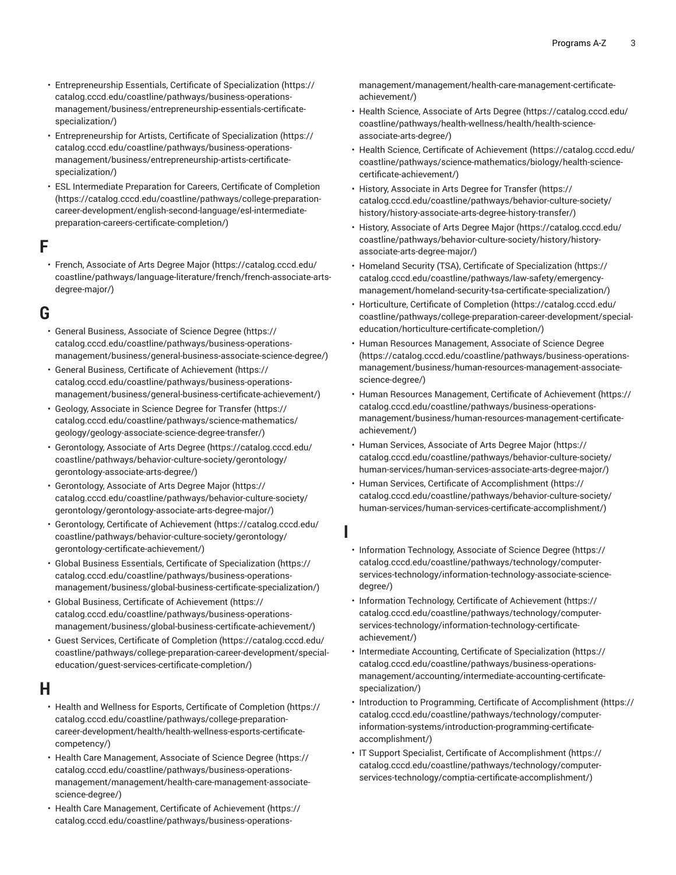- [Entrepreneurship](https://catalog.cccd.edu/coastline/pathways/business-operations-management/business/entrepreneurship-essentials-certificate-specialization/) Essentials, Certificate of Specialization ([https://](https://catalog.cccd.edu/coastline/pathways/business-operations-management/business/entrepreneurship-essentials-certificate-specialization/) [catalog.cccd.edu/coastline/pathways/business-operations](https://catalog.cccd.edu/coastline/pathways/business-operations-management/business/entrepreneurship-essentials-certificate-specialization/)[management/business/entrepreneurship-essentials-certificate](https://catalog.cccd.edu/coastline/pathways/business-operations-management/business/entrepreneurship-essentials-certificate-specialization/)[specialization/](https://catalog.cccd.edu/coastline/pathways/business-operations-management/business/entrepreneurship-essentials-certificate-specialization/))
- [Entrepreneurship](https://catalog.cccd.edu/coastline/pathways/business-operations-management/business/entrepreneurship-artists-certificate-specialization/) for Artists, Certificate of Specialization ([https://](https://catalog.cccd.edu/coastline/pathways/business-operations-management/business/entrepreneurship-artists-certificate-specialization/) [catalog.cccd.edu/coastline/pathways/business-operations](https://catalog.cccd.edu/coastline/pathways/business-operations-management/business/entrepreneurship-artists-certificate-specialization/)[management/business/entrepreneurship-artists-certificate](https://catalog.cccd.edu/coastline/pathways/business-operations-management/business/entrepreneurship-artists-certificate-specialization/)[specialization/](https://catalog.cccd.edu/coastline/pathways/business-operations-management/business/entrepreneurship-artists-certificate-specialization/))
- ESL [Intermediate](https://catalog.cccd.edu/coastline/pathways/college-preparation-career-development/english-second-language/esl-intermediate-preparation-careers-certificate-completion/) Preparation for Careers, Certificate of Completion ([https://catalog.cccd.edu/coastline/pathways/college-preparation](https://catalog.cccd.edu/coastline/pathways/college-preparation-career-development/english-second-language/esl-intermediate-preparation-careers-certificate-completion/)[career-development/english-second-language/esl-intermediate](https://catalog.cccd.edu/coastline/pathways/college-preparation-career-development/english-second-language/esl-intermediate-preparation-careers-certificate-completion/)[preparation-careers-certificate-completion/](https://catalog.cccd.edu/coastline/pathways/college-preparation-career-development/english-second-language/esl-intermediate-preparation-careers-certificate-completion/))

## **F**

• French, [Associate](https://catalog.cccd.edu/coastline/pathways/language-literature/french/french-associate-arts-degree-major/) of Arts Degree Major ([https://catalog.cccd.edu/](https://catalog.cccd.edu/coastline/pathways/language-literature/french/french-associate-arts-degree-major/) [coastline/pathways/language-literature/french/french-associate-arts](https://catalog.cccd.edu/coastline/pathways/language-literature/french/french-associate-arts-degree-major/)[degree-major/\)](https://catalog.cccd.edu/coastline/pathways/language-literature/french/french-associate-arts-degree-major/)

## **G**

- General Business, [Associate](https://catalog.cccd.edu/coastline/pathways/business-operations-management/business/general-business-associate-science-degree/) of Science Degree [\(https://](https://catalog.cccd.edu/coastline/pathways/business-operations-management/business/general-business-associate-science-degree/) [catalog.cccd.edu/coastline/pathways/business-operations](https://catalog.cccd.edu/coastline/pathways/business-operations-management/business/general-business-associate-science-degree/)[management/business/general-business-associate-science-degree/\)](https://catalog.cccd.edu/coastline/pathways/business-operations-management/business/general-business-associate-science-degree/)
- General Business, Certificate of [Achievement](https://catalog.cccd.edu/coastline/pathways/business-operations-management/business/general-business-certificate-achievement/) ([https://](https://catalog.cccd.edu/coastline/pathways/business-operations-management/business/general-business-certificate-achievement/) [catalog.cccd.edu/coastline/pathways/business-operations](https://catalog.cccd.edu/coastline/pathways/business-operations-management/business/general-business-certificate-achievement/)[management/business/general-business-certificate-achievement/\)](https://catalog.cccd.edu/coastline/pathways/business-operations-management/business/general-business-certificate-achievement/)
- Geology, [Associate](https://catalog.cccd.edu/coastline/pathways/science-mathematics/geology/geology-associate-science-degree-transfer/) in Science Degree for Transfer ([https://](https://catalog.cccd.edu/coastline/pathways/science-mathematics/geology/geology-associate-science-degree-transfer/) [catalog.cccd.edu/coastline/pathways/science-mathematics/](https://catalog.cccd.edu/coastline/pathways/science-mathematics/geology/geology-associate-science-degree-transfer/) [geology/geology-associate-science-degree-transfer/](https://catalog.cccd.edu/coastline/pathways/science-mathematics/geology/geology-associate-science-degree-transfer/))
- [Gerontology,](https://catalog.cccd.edu/coastline/pathways/behavior-culture-society/gerontology/gerontology-associate-arts-degree/) Associate of Arts Degree [\(https://catalog.cccd.edu/](https://catalog.cccd.edu/coastline/pathways/behavior-culture-society/gerontology/gerontology-associate-arts-degree/) [coastline/pathways/behavior-culture-society/gerontology/](https://catalog.cccd.edu/coastline/pathways/behavior-culture-society/gerontology/gerontology-associate-arts-degree/) [gerontology-associate-arts-degree/](https://catalog.cccd.edu/coastline/pathways/behavior-culture-society/gerontology/gerontology-associate-arts-degree/))
- [Gerontology,](https://catalog.cccd.edu/coastline/pathways/behavior-culture-society/gerontology/gerontology-associate-arts-degree-major/) Associate of Arts Degree Major [\(https://](https://catalog.cccd.edu/coastline/pathways/behavior-culture-society/gerontology/gerontology-associate-arts-degree-major/) [catalog.cccd.edu/coastline/pathways/behavior-culture-society/](https://catalog.cccd.edu/coastline/pathways/behavior-culture-society/gerontology/gerontology-associate-arts-degree-major/) [gerontology/gerontology-associate-arts-degree-major/](https://catalog.cccd.edu/coastline/pathways/behavior-culture-society/gerontology/gerontology-associate-arts-degree-major/))
- Gerontology, Certificate of [Achievement \(https://catalog.cccd.edu/](https://catalog.cccd.edu/coastline/pathways/behavior-culture-society/gerontology/gerontology-certificate-achievement/) [coastline/pathways/behavior-culture-society/gerontology/](https://catalog.cccd.edu/coastline/pathways/behavior-culture-society/gerontology/gerontology-certificate-achievement/) [gerontology-certificate-achievement/\)](https://catalog.cccd.edu/coastline/pathways/behavior-culture-society/gerontology/gerontology-certificate-achievement/)
- Global Business Essentials, Certificate of [Specialization](https://catalog.cccd.edu/coastline/pathways/business-operations-management/business/global-business-certificate-specialization/) [\(https://](https://catalog.cccd.edu/coastline/pathways/business-operations-management/business/global-business-certificate-specialization/) [catalog.cccd.edu/coastline/pathways/business-operations](https://catalog.cccd.edu/coastline/pathways/business-operations-management/business/global-business-certificate-specialization/)[management/business/global-business-certificate-specialization/\)](https://catalog.cccd.edu/coastline/pathways/business-operations-management/business/global-business-certificate-specialization/)
- Global Business, Certificate of [Achievement](https://catalog.cccd.edu/coastline/pathways/business-operations-management/business/global-business-certificate-achievement/) [\(https://](https://catalog.cccd.edu/coastline/pathways/business-operations-management/business/global-business-certificate-achievement/) [catalog.cccd.edu/coastline/pathways/business-operations](https://catalog.cccd.edu/coastline/pathways/business-operations-management/business/global-business-certificate-achievement/)[management/business/global-business-certificate-achievement/](https://catalog.cccd.edu/coastline/pathways/business-operations-management/business/global-business-certificate-achievement/))
- Guest Services, Certificate of [Completion \(https://catalog.cccd.edu/](https://catalog.cccd.edu/coastline/pathways/college-preparation-career-development/special-education/guest-services-certificate-completion/) [coastline/pathways/college-preparation-career-development/special](https://catalog.cccd.edu/coastline/pathways/college-preparation-career-development/special-education/guest-services-certificate-completion/)[education/guest-services-certificate-completion/\)](https://catalog.cccd.edu/coastline/pathways/college-preparation-career-development/special-education/guest-services-certificate-completion/)

#### **H**

- Health and Wellness for Esports, Certificate of [Completion](https://catalog.cccd.edu/coastline/pathways/college-preparation-career-development/health/health-wellness-esports-certificate-competency/) ([https://](https://catalog.cccd.edu/coastline/pathways/college-preparation-career-development/health/health-wellness-esports-certificate-competency/) [catalog.cccd.edu/coastline/pathways/college-preparation](https://catalog.cccd.edu/coastline/pathways/college-preparation-career-development/health/health-wellness-esports-certificate-competency/)[career-development/health/health-wellness-esports-certificate](https://catalog.cccd.edu/coastline/pathways/college-preparation-career-development/health/health-wellness-esports-certificate-competency/)[competency/\)](https://catalog.cccd.edu/coastline/pathways/college-preparation-career-development/health/health-wellness-esports-certificate-competency/)
- Health Care [Management,](https://catalog.cccd.edu/coastline/pathways/business-operations-management/management/health-care-management-associate-science-degree/) Associate of Science Degree [\(https://](https://catalog.cccd.edu/coastline/pathways/business-operations-management/management/health-care-management-associate-science-degree/) [catalog.cccd.edu/coastline/pathways/business-operations](https://catalog.cccd.edu/coastline/pathways/business-operations-management/management/health-care-management-associate-science-degree/)[management/management/health-care-management-associate](https://catalog.cccd.edu/coastline/pathways/business-operations-management/management/health-care-management-associate-science-degree/)[science-degree/\)](https://catalog.cccd.edu/coastline/pathways/business-operations-management/management/health-care-management-associate-science-degree/)
- Health Care [Management,](https://catalog.cccd.edu/coastline/pathways/business-operations-management/management/health-care-management-certificate-achievement/) Certificate of Achievement ([https://](https://catalog.cccd.edu/coastline/pathways/business-operations-management/management/health-care-management-certificate-achievement/) [catalog.cccd.edu/coastline/pathways/business-operations-](https://catalog.cccd.edu/coastline/pathways/business-operations-management/management/health-care-management-certificate-achievement/)

[management/management/health-care-management-certificate](https://catalog.cccd.edu/coastline/pathways/business-operations-management/management/health-care-management-certificate-achievement/)[achievement/\)](https://catalog.cccd.edu/coastline/pathways/business-operations-management/management/health-care-management-certificate-achievement/)

- Health Science, [Associate](https://catalog.cccd.edu/coastline/pathways/health-wellness/health/health-science-associate-arts-degree/) of Arts Degree ([https://catalog.cccd.edu/](https://catalog.cccd.edu/coastline/pathways/health-wellness/health/health-science-associate-arts-degree/) [coastline/pathways/health-wellness/health/health-science](https://catalog.cccd.edu/coastline/pathways/health-wellness/health/health-science-associate-arts-degree/)[associate-arts-degree/\)](https://catalog.cccd.edu/coastline/pathways/health-wellness/health/health-science-associate-arts-degree/)
- Health Science, Certificate of [Achievement](https://catalog.cccd.edu/coastline/pathways/science-mathematics/biology/health-science-certificate-achievement/) ([https://catalog.cccd.edu/](https://catalog.cccd.edu/coastline/pathways/science-mathematics/biology/health-science-certificate-achievement/) [coastline/pathways/science-mathematics/biology/health-science](https://catalog.cccd.edu/coastline/pathways/science-mathematics/biology/health-science-certificate-achievement/)[certificate-achievement/](https://catalog.cccd.edu/coastline/pathways/science-mathematics/biology/health-science-certificate-achievement/))
- History, [Associate](https://catalog.cccd.edu/coastline/pathways/behavior-culture-society/history/history-associate-arts-degree-history-transfer/) in Arts Degree for Transfer [\(https://](https://catalog.cccd.edu/coastline/pathways/behavior-culture-society/history/history-associate-arts-degree-history-transfer/) [catalog.cccd.edu/coastline/pathways/behavior-culture-society/](https://catalog.cccd.edu/coastline/pathways/behavior-culture-society/history/history-associate-arts-degree-history-transfer/) [history/history-associate-arts-degree-history-transfer/](https://catalog.cccd.edu/coastline/pathways/behavior-culture-society/history/history-associate-arts-degree-history-transfer/))
- History, [Associate](https://catalog.cccd.edu/coastline/pathways/behavior-culture-society/history/history-associate-arts-degree-major/) of Arts Degree Major ([https://catalog.cccd.edu/](https://catalog.cccd.edu/coastline/pathways/behavior-culture-society/history/history-associate-arts-degree-major/) [coastline/pathways/behavior-culture-society/history/history](https://catalog.cccd.edu/coastline/pathways/behavior-culture-society/history/history-associate-arts-degree-major/)[associate-arts-degree-major/](https://catalog.cccd.edu/coastline/pathways/behavior-culture-society/history/history-associate-arts-degree-major/))
- Homeland Security (TSA), Certificate of [Specialization](https://catalog.cccd.edu/coastline/pathways/law-safety/emergency-management/homeland-security-tsa-certificate-specialization/) ([https://](https://catalog.cccd.edu/coastline/pathways/law-safety/emergency-management/homeland-security-tsa-certificate-specialization/) [catalog.cccd.edu/coastline/pathways/law-safety/emergency](https://catalog.cccd.edu/coastline/pathways/law-safety/emergency-management/homeland-security-tsa-certificate-specialization/)[management/homeland-security-tsa-certificate-specialization/](https://catalog.cccd.edu/coastline/pathways/law-safety/emergency-management/homeland-security-tsa-certificate-specialization/))
- [Horticulture,](https://catalog.cccd.edu/coastline/pathways/college-preparation-career-development/special-education/horticulture-certificate-completion/) Certificate of Completion ([https://catalog.cccd.edu/](https://catalog.cccd.edu/coastline/pathways/college-preparation-career-development/special-education/horticulture-certificate-completion/) [coastline/pathways/college-preparation-career-development/special](https://catalog.cccd.edu/coastline/pathways/college-preparation-career-development/special-education/horticulture-certificate-completion/)[education/horticulture-certificate-completion/](https://catalog.cccd.edu/coastline/pathways/college-preparation-career-development/special-education/horticulture-certificate-completion/))
- Human Resources [Management,](https://catalog.cccd.edu/coastline/pathways/business-operations-management/business/human-resources-management-associate-science-degree/) Associate of Science Degree [\(https://catalog.cccd.edu/coastline/pathways/business-operations](https://catalog.cccd.edu/coastline/pathways/business-operations-management/business/human-resources-management-associate-science-degree/)[management/business/human-resources-management-associate](https://catalog.cccd.edu/coastline/pathways/business-operations-management/business/human-resources-management-associate-science-degree/)[science-degree/\)](https://catalog.cccd.edu/coastline/pathways/business-operations-management/business/human-resources-management-associate-science-degree/)
- Human Resources [Management,](https://catalog.cccd.edu/coastline/pathways/business-operations-management/business/human-resources-management-certificate-achievement/) Certificate of Achievement ([https://](https://catalog.cccd.edu/coastline/pathways/business-operations-management/business/human-resources-management-certificate-achievement/) [catalog.cccd.edu/coastline/pathways/business-operations](https://catalog.cccd.edu/coastline/pathways/business-operations-management/business/human-resources-management-certificate-achievement/)[management/business/human-resources-management-certificate](https://catalog.cccd.edu/coastline/pathways/business-operations-management/business/human-resources-management-certificate-achievement/)[achievement/\)](https://catalog.cccd.edu/coastline/pathways/business-operations-management/business/human-resources-management-certificate-achievement/)
- Human Services, [Associate](https://catalog.cccd.edu/coastline/pathways/behavior-culture-society/human-services/human-services-associate-arts-degree-major/) of Arts Degree Major [\(https://](https://catalog.cccd.edu/coastline/pathways/behavior-culture-society/human-services/human-services-associate-arts-degree-major/) [catalog.cccd.edu/coastline/pathways/behavior-culture-society/](https://catalog.cccd.edu/coastline/pathways/behavior-culture-society/human-services/human-services-associate-arts-degree-major/) [human-services/human-services-associate-arts-degree-major/](https://catalog.cccd.edu/coastline/pathways/behavior-culture-society/human-services/human-services-associate-arts-degree-major/))
- Human Services, Certificate of [Accomplishment](https://catalog.cccd.edu/coastline/pathways/behavior-culture-society/human-services/human-services-certificate-accomplishment/) ([https://](https://catalog.cccd.edu/coastline/pathways/behavior-culture-society/human-services/human-services-certificate-accomplishment/) [catalog.cccd.edu/coastline/pathways/behavior-culture-society/](https://catalog.cccd.edu/coastline/pathways/behavior-culture-society/human-services/human-services-certificate-accomplishment/) [human-services/human-services-certificate-accomplishment/\)](https://catalog.cccd.edu/coastline/pathways/behavior-culture-society/human-services/human-services-certificate-accomplishment/)

**I**

- Information [Technology,](https://catalog.cccd.edu/coastline/pathways/technology/computer-services-technology/information-technology-associate-science-degree/) Associate of Science Degree [\(https://](https://catalog.cccd.edu/coastline/pathways/technology/computer-services-technology/information-technology-associate-science-degree/) [catalog.cccd.edu/coastline/pathways/technology/computer](https://catalog.cccd.edu/coastline/pathways/technology/computer-services-technology/information-technology-associate-science-degree/)[services-technology/information-technology-associate-science](https://catalog.cccd.edu/coastline/pathways/technology/computer-services-technology/information-technology-associate-science-degree/)[degree/](https://catalog.cccd.edu/coastline/pathways/technology/computer-services-technology/information-technology-associate-science-degree/))
- Information Technology, Certificate of [Achievement](https://catalog.cccd.edu/coastline/pathways/technology/computer-services-technology/information-technology-certificate-achievement/) ([https://](https://catalog.cccd.edu/coastline/pathways/technology/computer-services-technology/information-technology-certificate-achievement/) [catalog.cccd.edu/coastline/pathways/technology/computer](https://catalog.cccd.edu/coastline/pathways/technology/computer-services-technology/information-technology-certificate-achievement/)[services-technology/information-technology-certificate](https://catalog.cccd.edu/coastline/pathways/technology/computer-services-technology/information-technology-certificate-achievement/)[achievement/\)](https://catalog.cccd.edu/coastline/pathways/technology/computer-services-technology/information-technology-certificate-achievement/)
- Intermediate Accounting, Certificate of [Specialization \(https://](https://catalog.cccd.edu/coastline/pathways/business-operations-management/accounting/intermediate-accounting-certificate-specialization/) [catalog.cccd.edu/coastline/pathways/business-operations](https://catalog.cccd.edu/coastline/pathways/business-operations-management/accounting/intermediate-accounting-certificate-specialization/)[management/accounting/intermediate-accounting-certificate](https://catalog.cccd.edu/coastline/pathways/business-operations-management/accounting/intermediate-accounting-certificate-specialization/)[specialization/\)](https://catalog.cccd.edu/coastline/pathways/business-operations-management/accounting/intermediate-accounting-certificate-specialization/)
- Introduction to Programming, Certificate of [Accomplishment](https://catalog.cccd.edu/coastline/pathways/technology/computer-information-systems/introduction-programming-certificate-accomplishment/) [\(https://](https://catalog.cccd.edu/coastline/pathways/technology/computer-information-systems/introduction-programming-certificate-accomplishment/) [catalog.cccd.edu/coastline/pathways/technology/computer](https://catalog.cccd.edu/coastline/pathways/technology/computer-information-systems/introduction-programming-certificate-accomplishment/)[information-systems/introduction-programming-certificate](https://catalog.cccd.edu/coastline/pathways/technology/computer-information-systems/introduction-programming-certificate-accomplishment/)[accomplishment/\)](https://catalog.cccd.edu/coastline/pathways/technology/computer-information-systems/introduction-programming-certificate-accomplishment/)
- IT Support Specialist, Certificate of [Accomplishment](https://catalog.cccd.edu/coastline/pathways/technology/computer-services-technology/comptia-certificate-accomplishment/) ([https://](https://catalog.cccd.edu/coastline/pathways/technology/computer-services-technology/comptia-certificate-accomplishment/) [catalog.cccd.edu/coastline/pathways/technology/computer](https://catalog.cccd.edu/coastline/pathways/technology/computer-services-technology/comptia-certificate-accomplishment/)[services-technology/comptia-certificate-accomplishment/](https://catalog.cccd.edu/coastline/pathways/technology/computer-services-technology/comptia-certificate-accomplishment/))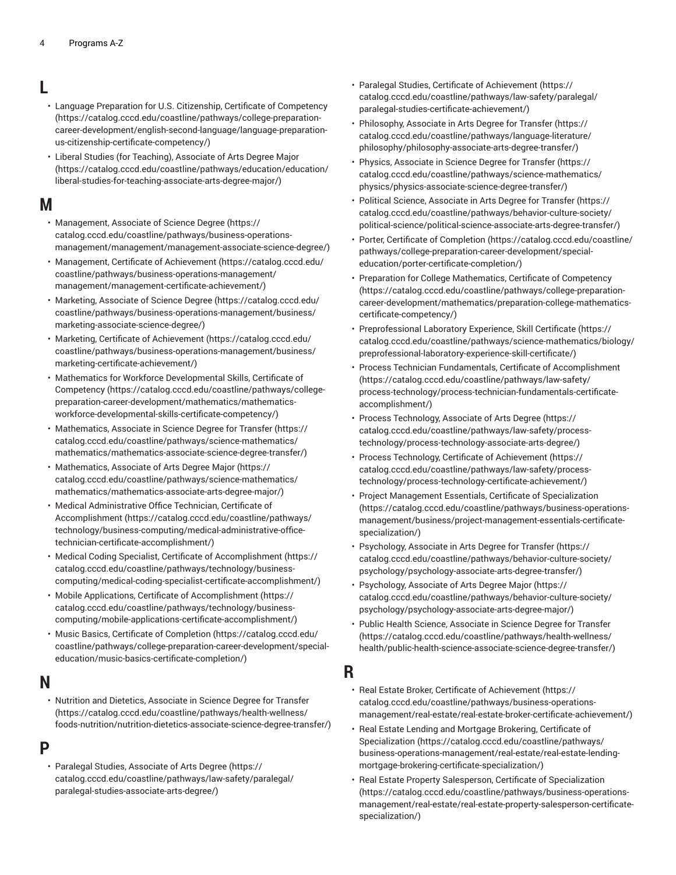# **L**

- Language Preparation for U.S. Citizenship, Certificate of [Competency](https://catalog.cccd.edu/coastline/pathways/college-preparation-career-development/english-second-language/language-preparation-us-citizenship-certificate-competency/) ([https://catalog.cccd.edu/coastline/pathways/college-preparation](https://catalog.cccd.edu/coastline/pathways/college-preparation-career-development/english-second-language/language-preparation-us-citizenship-certificate-competency/)[career-development/english-second-language/language-preparation](https://catalog.cccd.edu/coastline/pathways/college-preparation-career-development/english-second-language/language-preparation-us-citizenship-certificate-competency/)[us-citizenship-certificate-competency/](https://catalog.cccd.edu/coastline/pathways/college-preparation-career-development/english-second-language/language-preparation-us-citizenship-certificate-competency/))
- Liberal Studies (for [Teaching\),](https://catalog.cccd.edu/coastline/pathways/education/education/liberal-studies-for-teaching-associate-arts-degree-major/) Associate of Arts Degree Major ([https://catalog.cccd.edu/coastline/pathways/education/education/](https://catalog.cccd.edu/coastline/pathways/education/education/liberal-studies-for-teaching-associate-arts-degree-major/) [liberal-studies-for-teaching-associate-arts-degree-major/](https://catalog.cccd.edu/coastline/pathways/education/education/liberal-studies-for-teaching-associate-arts-degree-major/))

## **M**

- [Management,](https://catalog.cccd.edu/coastline/pathways/business-operations-management/management/management-associate-science-degree/) Associate of Science Degree [\(https://](https://catalog.cccd.edu/coastline/pathways/business-operations-management/management/management-associate-science-degree/) [catalog.cccd.edu/coastline/pathways/business-operations](https://catalog.cccd.edu/coastline/pathways/business-operations-management/management/management-associate-science-degree/)[management/management/management-associate-science-degree/](https://catalog.cccd.edu/coastline/pathways/business-operations-management/management/management-associate-science-degree/))
- [Management,](https://catalog.cccd.edu/coastline/pathways/business-operations-management/management/management-certificate-achievement/) Certificate of Achievement ([https://catalog.cccd.edu/](https://catalog.cccd.edu/coastline/pathways/business-operations-management/management/management-certificate-achievement/) [coastline/pathways/business-operations-management/](https://catalog.cccd.edu/coastline/pathways/business-operations-management/management/management-certificate-achievement/) [management/management-certificate-achievement/](https://catalog.cccd.edu/coastline/pathways/business-operations-management/management/management-certificate-achievement/))
- [Marketing,](https://catalog.cccd.edu/coastline/pathways/business-operations-management/business/marketing-associate-science-degree/) Associate of Science Degree [\(https://catalog.cccd.edu/](https://catalog.cccd.edu/coastline/pathways/business-operations-management/business/marketing-associate-science-degree/) [coastline/pathways/business-operations-management/business/](https://catalog.cccd.edu/coastline/pathways/business-operations-management/business/marketing-associate-science-degree/) [marketing-associate-science-degree/](https://catalog.cccd.edu/coastline/pathways/business-operations-management/business/marketing-associate-science-degree/))
- Marketing, Certificate of [Achievement \(https://catalog.cccd.edu/](https://catalog.cccd.edu/coastline/pathways/business-operations-management/business/marketing-certificate-achievement/) [coastline/pathways/business-operations-management/business/](https://catalog.cccd.edu/coastline/pathways/business-operations-management/business/marketing-certificate-achievement/) [marketing-certificate-achievement/](https://catalog.cccd.edu/coastline/pathways/business-operations-management/business/marketing-certificate-achievement/))
- Mathematics for Workforce [Developmental](https://catalog.cccd.edu/coastline/pathways/college-preparation-career-development/mathematics/mathematics-workforce-developmental-skills-certificate-competency/) Skills, Certificate of [Competency](https://catalog.cccd.edu/coastline/pathways/college-preparation-career-development/mathematics/mathematics-workforce-developmental-skills-certificate-competency/) ([https://catalog.cccd.edu/coastline/pathways/college](https://catalog.cccd.edu/coastline/pathways/college-preparation-career-development/mathematics/mathematics-workforce-developmental-skills-certificate-competency/)[preparation-career-development/mathematics/mathematics](https://catalog.cccd.edu/coastline/pathways/college-preparation-career-development/mathematics/mathematics-workforce-developmental-skills-certificate-competency/)[workforce-developmental-skills-certificate-competency/\)](https://catalog.cccd.edu/coastline/pathways/college-preparation-career-development/mathematics/mathematics-workforce-developmental-skills-certificate-competency/)
- [Mathematics,](https://catalog.cccd.edu/coastline/pathways/science-mathematics/mathematics/mathematics-associate-science-degree-transfer/) Associate in Science Degree for Transfer [\(https://](https://catalog.cccd.edu/coastline/pathways/science-mathematics/mathematics/mathematics-associate-science-degree-transfer/) [catalog.cccd.edu/coastline/pathways/science-mathematics/](https://catalog.cccd.edu/coastline/pathways/science-mathematics/mathematics/mathematics-associate-science-degree-transfer/) [mathematics/mathematics-associate-science-degree-transfer/\)](https://catalog.cccd.edu/coastline/pathways/science-mathematics/mathematics/mathematics-associate-science-degree-transfer/)
- [Mathematics,](https://catalog.cccd.edu/coastline/pathways/science-mathematics/mathematics/mathematics-associate-arts-degree-major/) Associate of Arts Degree Major [\(https://](https://catalog.cccd.edu/coastline/pathways/science-mathematics/mathematics/mathematics-associate-arts-degree-major/) [catalog.cccd.edu/coastline/pathways/science-mathematics/](https://catalog.cccd.edu/coastline/pathways/science-mathematics/mathematics/mathematics-associate-arts-degree-major/) [mathematics/mathematics-associate-arts-degree-major/\)](https://catalog.cccd.edu/coastline/pathways/science-mathematics/mathematics/mathematics-associate-arts-degree-major/)
- Medical [Administrative](https://catalog.cccd.edu/coastline/pathways/technology/business-computing/medical-administrative-office-technician-certificate-accomplishment/) Office Technician, Certificate of [Accomplishment](https://catalog.cccd.edu/coastline/pathways/technology/business-computing/medical-administrative-office-technician-certificate-accomplishment/) ([https://catalog.cccd.edu/coastline/pathways/](https://catalog.cccd.edu/coastline/pathways/technology/business-computing/medical-administrative-office-technician-certificate-accomplishment/) [technology/business-computing/medical-administrative-office](https://catalog.cccd.edu/coastline/pathways/technology/business-computing/medical-administrative-office-technician-certificate-accomplishment/)[technician-certificate-accomplishment/](https://catalog.cccd.edu/coastline/pathways/technology/business-computing/medical-administrative-office-technician-certificate-accomplishment/))
- Medical Coding Specialist, Certificate of [Accomplishment \(https://](https://catalog.cccd.edu/coastline/pathways/technology/business-computing/medical-coding-specialist-certificate-accomplishment/) [catalog.cccd.edu/coastline/pathways/technology/business](https://catalog.cccd.edu/coastline/pathways/technology/business-computing/medical-coding-specialist-certificate-accomplishment/)[computing/medical-coding-specialist-certificate-accomplishment/\)](https://catalog.cccd.edu/coastline/pathways/technology/business-computing/medical-coding-specialist-certificate-accomplishment/)
- Mobile Applications, Certificate of [Accomplishment](https://catalog.cccd.edu/coastline/pathways/technology/business-computing/mobile-applications-certificate-accomplishment/) ([https://](https://catalog.cccd.edu/coastline/pathways/technology/business-computing/mobile-applications-certificate-accomplishment/) [catalog.cccd.edu/coastline/pathways/technology/business](https://catalog.cccd.edu/coastline/pathways/technology/business-computing/mobile-applications-certificate-accomplishment/)[computing/mobile-applications-certificate-accomplishment/\)](https://catalog.cccd.edu/coastline/pathways/technology/business-computing/mobile-applications-certificate-accomplishment/)
- Music Basics, Certificate of [Completion](https://catalog.cccd.edu/coastline/pathways/college-preparation-career-development/special-education/music-basics-certificate-completion/) ([https://catalog.cccd.edu/](https://catalog.cccd.edu/coastline/pathways/college-preparation-career-development/special-education/music-basics-certificate-completion/) [coastline/pathways/college-preparation-career-development/special](https://catalog.cccd.edu/coastline/pathways/college-preparation-career-development/special-education/music-basics-certificate-completion/)[education/music-basics-certificate-completion/\)](https://catalog.cccd.edu/coastline/pathways/college-preparation-career-development/special-education/music-basics-certificate-completion/)

#### **N**

• Nutrition and Dietetics, [Associate](https://catalog.cccd.edu/coastline/pathways/health-wellness/foods-nutrition/nutrition-dietetics-associate-science-degree-transfer/) in Science Degree for Transfer ([https://catalog.cccd.edu/coastline/pathways/health-wellness/](https://catalog.cccd.edu/coastline/pathways/health-wellness/foods-nutrition/nutrition-dietetics-associate-science-degree-transfer/) [foods-nutrition/nutrition-dietetics-associate-science-degree-transfer/](https://catalog.cccd.edu/coastline/pathways/health-wellness/foods-nutrition/nutrition-dietetics-associate-science-degree-transfer/))

# **P**

• Paralegal Studies, [Associate](https://catalog.cccd.edu/coastline/pathways/law-safety/paralegal/paralegal-studies-associate-arts-degree/) of Arts Degree [\(https://](https://catalog.cccd.edu/coastline/pathways/law-safety/paralegal/paralegal-studies-associate-arts-degree/) [catalog.cccd.edu/coastline/pathways/law-safety/paralegal/](https://catalog.cccd.edu/coastline/pathways/law-safety/paralegal/paralegal-studies-associate-arts-degree/) [paralegal-studies-associate-arts-degree/](https://catalog.cccd.edu/coastline/pathways/law-safety/paralegal/paralegal-studies-associate-arts-degree/))

- Paralegal Studies, Certificate of [Achievement](https://catalog.cccd.edu/coastline/pathways/law-safety/paralegal/paralegal-studies-certificate-achievement/) ([https://](https://catalog.cccd.edu/coastline/pathways/law-safety/paralegal/paralegal-studies-certificate-achievement/) [catalog.cccd.edu/coastline/pathways/law-safety/paralegal/](https://catalog.cccd.edu/coastline/pathways/law-safety/paralegal/paralegal-studies-certificate-achievement/) [paralegal-studies-certificate-achievement/](https://catalog.cccd.edu/coastline/pathways/law-safety/paralegal/paralegal-studies-certificate-achievement/))
- [Philosophy,](https://catalog.cccd.edu/coastline/pathways/language-literature/philosophy/philosophy-associate-arts-degree-transfer/) Associate in Arts Degree for Transfer [\(https://](https://catalog.cccd.edu/coastline/pathways/language-literature/philosophy/philosophy-associate-arts-degree-transfer/) [catalog.cccd.edu/coastline/pathways/language-literature/](https://catalog.cccd.edu/coastline/pathways/language-literature/philosophy/philosophy-associate-arts-degree-transfer/) [philosophy/philosophy-associate-arts-degree-transfer/](https://catalog.cccd.edu/coastline/pathways/language-literature/philosophy/philosophy-associate-arts-degree-transfer/))
- Physics, [Associate](https://catalog.cccd.edu/coastline/pathways/science-mathematics/physics/physics-associate-science-degree-transfer/) in Science Degree for Transfer ([https://](https://catalog.cccd.edu/coastline/pathways/science-mathematics/physics/physics-associate-science-degree-transfer/) [catalog.cccd.edu/coastline/pathways/science-mathematics/](https://catalog.cccd.edu/coastline/pathways/science-mathematics/physics/physics-associate-science-degree-transfer/) [physics/physics-associate-science-degree-transfer/](https://catalog.cccd.edu/coastline/pathways/science-mathematics/physics/physics-associate-science-degree-transfer/))
- Political Science, [Associate](https://catalog.cccd.edu/coastline/pathways/behavior-culture-society/political-science/political-science-associate-arts-degree-transfer/) in Arts Degree for Transfer [\(https://](https://catalog.cccd.edu/coastline/pathways/behavior-culture-society/political-science/political-science-associate-arts-degree-transfer/) [catalog.cccd.edu/coastline/pathways/behavior-culture-society/](https://catalog.cccd.edu/coastline/pathways/behavior-culture-society/political-science/political-science-associate-arts-degree-transfer/) [political-science/political-science-associate-arts-degree-transfer/](https://catalog.cccd.edu/coastline/pathways/behavior-culture-society/political-science/political-science-associate-arts-degree-transfer/))
- Porter, Certificate of [Completion \(https://catalog.cccd.edu/coastline/](https://catalog.cccd.edu/coastline/pathways/college-preparation-career-development/special-education/porter-certificate-completion/) [pathways/college-preparation-career-development/special](https://catalog.cccd.edu/coastline/pathways/college-preparation-career-development/special-education/porter-certificate-completion/)[education/porter-certificate-completion/](https://catalog.cccd.edu/coastline/pathways/college-preparation-career-development/special-education/porter-certificate-completion/))
- Preparation for College [Mathematics,](https://catalog.cccd.edu/coastline/pathways/college-preparation-career-development/mathematics/preparation-college-mathematics-certificate-competency/) Certificate of Competency [\(https://catalog.cccd.edu/coastline/pathways/college-preparation](https://catalog.cccd.edu/coastline/pathways/college-preparation-career-development/mathematics/preparation-college-mathematics-certificate-competency/)[career-development/mathematics/preparation-college-mathematics](https://catalog.cccd.edu/coastline/pathways/college-preparation-career-development/mathematics/preparation-college-mathematics-certificate-competency/)[certificate-competency/](https://catalog.cccd.edu/coastline/pathways/college-preparation-career-development/mathematics/preparation-college-mathematics-certificate-competency/))
- [Preprofessional](https://catalog.cccd.edu/coastline/pathways/science-mathematics/biology/preprofessional-laboratory-experience-skill-certificate/) Laboratory Experience, Skill Certificate ([https://](https://catalog.cccd.edu/coastline/pathways/science-mathematics/biology/preprofessional-laboratory-experience-skill-certificate/) [catalog.cccd.edu/coastline/pathways/science-mathematics/biology/](https://catalog.cccd.edu/coastline/pathways/science-mathematics/biology/preprofessional-laboratory-experience-skill-certificate/) [preprofessional-laboratory-experience-skill-certificate/](https://catalog.cccd.edu/coastline/pathways/science-mathematics/biology/preprofessional-laboratory-experience-skill-certificate/))
- Process Technician Fundamentals, Certificate of [Accomplishment](https://catalog.cccd.edu/coastline/pathways/law-safety/process-technology/process-technician-fundamentals-certificate-accomplishment/) [\(https://catalog.cccd.edu/coastline/pathways/law-safety/](https://catalog.cccd.edu/coastline/pathways/law-safety/process-technology/process-technician-fundamentals-certificate-accomplishment/) [process-technology/process-technician-fundamentals-certificate](https://catalog.cccd.edu/coastline/pathways/law-safety/process-technology/process-technician-fundamentals-certificate-accomplishment/)[accomplishment/\)](https://catalog.cccd.edu/coastline/pathways/law-safety/process-technology/process-technician-fundamentals-certificate-accomplishment/)
- Process [Technology,](https://catalog.cccd.edu/coastline/pathways/law-safety/process-technology/process-technology-associate-arts-degree/) Associate of Arts Degree ([https://](https://catalog.cccd.edu/coastline/pathways/law-safety/process-technology/process-technology-associate-arts-degree/) [catalog.cccd.edu/coastline/pathways/law-safety/process](https://catalog.cccd.edu/coastline/pathways/law-safety/process-technology/process-technology-associate-arts-degree/)[technology/process-technology-associate-arts-degree/\)](https://catalog.cccd.edu/coastline/pathways/law-safety/process-technology/process-technology-associate-arts-degree/)
- Process Technology, Certificate of [Achievement](https://catalog.cccd.edu/coastline/pathways/law-safety/process-technology/process-technology-certificate-achievement/) ([https://](https://catalog.cccd.edu/coastline/pathways/law-safety/process-technology/process-technology-certificate-achievement/) [catalog.cccd.edu/coastline/pathways/law-safety/process](https://catalog.cccd.edu/coastline/pathways/law-safety/process-technology/process-technology-certificate-achievement/)[technology/process-technology-certificate-achievement/](https://catalog.cccd.edu/coastline/pathways/law-safety/process-technology/process-technology-certificate-achievement/))
- Project Management Essentials, Certificate of [Specialization](https://catalog.cccd.edu/coastline/pathways/business-operations-management/business/project-management-essentials-certificate-specialization/) [\(https://catalog.cccd.edu/coastline/pathways/business-operations](https://catalog.cccd.edu/coastline/pathways/business-operations-management/business/project-management-essentials-certificate-specialization/)[management/business/project-management-essentials-certificate](https://catalog.cccd.edu/coastline/pathways/business-operations-management/business/project-management-essentials-certificate-specialization/)[specialization/\)](https://catalog.cccd.edu/coastline/pathways/business-operations-management/business/project-management-essentials-certificate-specialization/)
- [Psychology,](https://catalog.cccd.edu/coastline/pathways/behavior-culture-society/psychology/psychology-associate-arts-degree-transfer/) Associate in Arts Degree for Transfer ([https://](https://catalog.cccd.edu/coastline/pathways/behavior-culture-society/psychology/psychology-associate-arts-degree-transfer/) [catalog.cccd.edu/coastline/pathways/behavior-culture-society/](https://catalog.cccd.edu/coastline/pathways/behavior-culture-society/psychology/psychology-associate-arts-degree-transfer/) [psychology/psychology-associate-arts-degree-transfer/\)](https://catalog.cccd.edu/coastline/pathways/behavior-culture-society/psychology/psychology-associate-arts-degree-transfer/)
- [Psychology,](https://catalog.cccd.edu/coastline/pathways/behavior-culture-society/psychology/psychology-associate-arts-degree-major/) Associate of Arts Degree Major [\(https://](https://catalog.cccd.edu/coastline/pathways/behavior-culture-society/psychology/psychology-associate-arts-degree-major/) [catalog.cccd.edu/coastline/pathways/behavior-culture-society/](https://catalog.cccd.edu/coastline/pathways/behavior-culture-society/psychology/psychology-associate-arts-degree-major/) [psychology/psychology-associate-arts-degree-major/](https://catalog.cccd.edu/coastline/pathways/behavior-culture-society/psychology/psychology-associate-arts-degree-major/))
- Public Health Science, [Associate](https://catalog.cccd.edu/coastline/pathways/health-wellness/health/public-health-science-associate-science-degree-transfer/) in Science Degree for Transfer [\(https://catalog.cccd.edu/coastline/pathways/health-wellness/](https://catalog.cccd.edu/coastline/pathways/health-wellness/health/public-health-science-associate-science-degree-transfer/) [health/public-health-science-associate-science-degree-transfer/\)](https://catalog.cccd.edu/coastline/pathways/health-wellness/health/public-health-science-associate-science-degree-transfer/)

## **R**

- Real Estate Broker, Certificate of [Achievement \(https://](https://catalog.cccd.edu/coastline/pathways/business-operations-management/real-estate/real-estate-broker-certificate-achievement/) [catalog.cccd.edu/coastline/pathways/business-operations](https://catalog.cccd.edu/coastline/pathways/business-operations-management/real-estate/real-estate-broker-certificate-achievement/)[management/real-estate/real-estate-broker-certificate-achievement/](https://catalog.cccd.edu/coastline/pathways/business-operations-management/real-estate/real-estate-broker-certificate-achievement/))
- Real Estate Lending and Mortgage Brokering, [Certificate](https://catalog.cccd.edu/coastline/pathways/business-operations-management/real-estate/real-estate-lending-mortgage-brokering-certificate-specialization/) of [Specialization](https://catalog.cccd.edu/coastline/pathways/business-operations-management/real-estate/real-estate-lending-mortgage-brokering-certificate-specialization/) ([https://catalog.cccd.edu/coastline/pathways/](https://catalog.cccd.edu/coastline/pathways/business-operations-management/real-estate/real-estate-lending-mortgage-brokering-certificate-specialization/) [business-operations-management/real-estate/real-estate-lending](https://catalog.cccd.edu/coastline/pathways/business-operations-management/real-estate/real-estate-lending-mortgage-brokering-certificate-specialization/)[mortgage-brokering-certificate-specialization/\)](https://catalog.cccd.edu/coastline/pathways/business-operations-management/real-estate/real-estate-lending-mortgage-brokering-certificate-specialization/)
- Real Estate Property Salesperson, Certificate of [Specialization](https://catalog.cccd.edu/coastline/pathways/business-operations-management/real-estate/real-estate-property-salesperson-certificate-specialization/) [\(https://catalog.cccd.edu/coastline/pathways/business-operations](https://catalog.cccd.edu/coastline/pathways/business-operations-management/real-estate/real-estate-property-salesperson-certificate-specialization/)[management/real-estate/real-estate-property-salesperson-certificate](https://catalog.cccd.edu/coastline/pathways/business-operations-management/real-estate/real-estate-property-salesperson-certificate-specialization/)[specialization/\)](https://catalog.cccd.edu/coastline/pathways/business-operations-management/real-estate/real-estate-property-salesperson-certificate-specialization/)